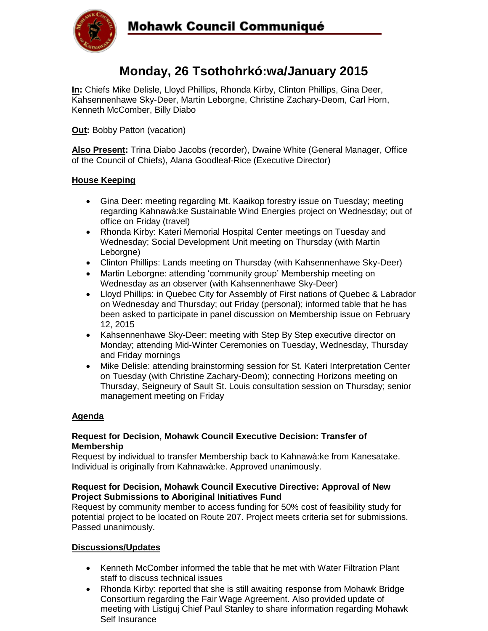

# **Monday, 26 Tsothohrkó:wa/January 2015**

**In:** Chiefs Mike Delisle, Lloyd Phillips, Rhonda Kirby, Clinton Phillips, Gina Deer, Kahsennenhawe Sky-Deer, Martin Leborgne, Christine Zachary-Deom, Carl Horn, Kenneth McComber, Billy Diabo

**Out:** Bobby Patton (vacation)

**Also Present:** Trina Diabo Jacobs (recorder), Dwaine White (General Manager, Office of the Council of Chiefs), Alana Goodleaf-Rice (Executive Director)

## **House Keeping**

- Gina Deer: meeting regarding Mt. Kaaikop forestry issue on Tuesday; meeting regarding Kahnawà:ke Sustainable Wind Energies project on Wednesday; out of office on Friday (travel)
- Rhonda Kirby: Kateri Memorial Hospital Center meetings on Tuesday and Wednesday; Social Development Unit meeting on Thursday (with Martin Leborgne)
- Clinton Phillips: Lands meeting on Thursday (with Kahsennenhawe Sky-Deer)
- Martin Leborgne: attending 'community group' Membership meeting on Wednesday as an observer (with Kahsennenhawe Sky-Deer)
- Lloyd Phillips: in Quebec City for Assembly of First nations of Quebec & Labrador on Wednesday and Thursday; out Friday (personal); informed table that he has been asked to participate in panel discussion on Membership issue on February 12, 2015
- Kahsennenhawe Sky-Deer: meeting with Step By Step executive director on Monday; attending Mid-Winter Ceremonies on Tuesday, Wednesday, Thursday and Friday mornings
- Mike Delisle: attending brainstorming session for St. Kateri Interpretation Center on Tuesday (with Christine Zachary-Deom); connecting Horizons meeting on Thursday, Seigneury of Sault St. Louis consultation session on Thursday; senior management meeting on Friday

## **Agenda**

#### **Request for Decision, Mohawk Council Executive Decision: Transfer of Membership**

Request by individual to transfer Membership back to Kahnawà:ke from Kanesatake. Individual is originally from Kahnawà:ke. Approved unanimously.

## **Request for Decision, Mohawk Council Executive Directive: Approval of New Project Submissions to Aboriginal Initiatives Fund**

Request by community member to access funding for 50% cost of feasibility study for potential project to be located on Route 207. Project meets criteria set for submissions. Passed unanimously.

## **Discussions/Updates**

- Kenneth McComber informed the table that he met with Water Filtration Plant staff to discuss technical issues
- Rhonda Kirby: reported that she is still awaiting response from Mohawk Bridge Consortium regarding the Fair Wage Agreement. Also provided update of meeting with Listiguj Chief Paul Stanley to share information regarding Mohawk Self Insurance